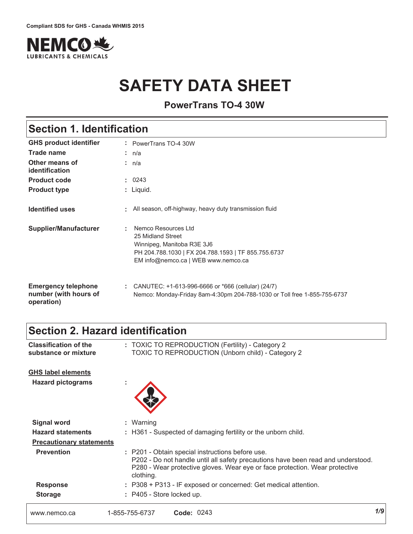

# **SAFETY DATA SHEET**

**PowerTrans TO-4 30W**

# **Section 1. Identification**

| <b>GHS product identifier</b>                                     | : PowerTrans TO-4 30W                                                                                                                                                     |
|-------------------------------------------------------------------|---------------------------------------------------------------------------------------------------------------------------------------------------------------------------|
| Trade name                                                        | : n/a                                                                                                                                                                     |
| Other means of<br>identification                                  | : n/a                                                                                                                                                                     |
| <b>Product code</b>                                               | : 0243                                                                                                                                                                    |
| <b>Product type</b>                                               | $:$ Liquid.                                                                                                                                                               |
| <b>Identified uses</b>                                            | : All season, off-highway, heavy duty transmission fluid                                                                                                                  |
| <b>Supplier/Manufacturer</b>                                      | Nemco Resources Ltd<br>÷<br>25 Midland Street<br>Winnipeg, Manitoba R3E 3J6<br>PH 204.788.1030   FX 204.788.1593   TF 855.755.6737<br>EM info@nemco.ca   WEB www.nemco.ca |
| <b>Emergency telephone</b><br>number (with hours of<br>operation) | : CANUTEC: $+1-613-996-6666$ or $*666$ (cellular) (24/7)<br>Nemco: Monday-Friday 8am-4:30pm 204-788-1030 or Toll free 1-855-755-6737                                      |

# **Section 2. Hazard identification**

| www.nemco.ca                                          | Code: 0243<br>1-855-755-6737                                                                                                                                                                                                     | 1/9 |
|-------------------------------------------------------|----------------------------------------------------------------------------------------------------------------------------------------------------------------------------------------------------------------------------------|-----|
| <b>Storage</b>                                        | : P405 - Store locked up.                                                                                                                                                                                                        |     |
| <b>Response</b>                                       | : P308 + P313 - IF exposed or concerned: Get medical attention.                                                                                                                                                                  |     |
| <b>Prevention</b>                                     | : P201 - Obtain special instructions before use.<br>P202 - Do not handle until all safety precautions have been read and understood.<br>P280 - Wear protective gloves. Wear eye or face protection. Wear protective<br>clothing. |     |
| <b>Precautionary statements</b>                       |                                                                                                                                                                                                                                  |     |
| <b>Hazard statements</b>                              | : H361 - Suspected of damaging fertility or the unborn child.                                                                                                                                                                    |     |
| <b>Signal word</b>                                    | : Warning                                                                                                                                                                                                                        |     |
| <b>GHS label elements</b><br><b>Hazard pictograms</b> | ×.                                                                                                                                                                                                                               |     |
| <b>Classification of the</b><br>substance or mixture  | : TOXIC TO REPRODUCTION (Fertility) - Category 2<br><b>TOXIC TO REPRODUCTION (Unborn child) - Category 2</b>                                                                                                                     |     |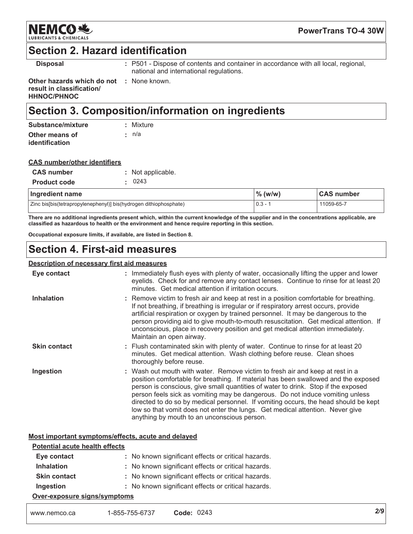

**PowerTrans TO-4 30W** 

## **Section 2. Hazard identification**

**Disposal** 

: P501 - Dispose of contents and container in accordance with all local, regional, national and international regulations.

Other hazards which do not : None known. result in classification/ **HHNOC/PHNOC** 

# Section 3. Composition/information on ingredients

| Substance/mixture | : Mixture   |
|-------------------|-------------|
| Other means of    | $\cdot$ n/a |
| identification    |             |

| <b>CAS number/other identifiers</b> |  |
|-------------------------------------|--|
|                                     |  |

| <b>CAS</b> number                                                 |  | : Not applicable. |            |                   |
|-------------------------------------------------------------------|--|-------------------|------------|-------------------|
| <b>Product code</b>                                               |  | 0243              |            |                   |
| Ingredient name                                                   |  |                   | $\%$ (w/w) | <b>CAS number</b> |
| Zinc bis[bis(tetrapropylenephenyl)] bis(hydrogen dithiophosphate) |  |                   | $0.3 - 1$  | 11059-65-7        |

There are no additional ingredients present which, within the current knowledge of the supplier and in the concentrations applicable, are classified as hazardous to health or the environment and hence require reporting in this section.

Occupational exposure limits, if available, are listed in Section 8.

# **Section 4. First-aid measures**

#### Description of necessary first aid measures

| Eye contact         | : Immediately flush eyes with plenty of water, occasionally lifting the upper and lower<br>eyelids. Check for and remove any contact lenses. Continue to rinse for at least 20<br>minutes. Get medical attention if irritation occurs.                                                                                                                                                                                                                                                                                                                           |
|---------------------|------------------------------------------------------------------------------------------------------------------------------------------------------------------------------------------------------------------------------------------------------------------------------------------------------------------------------------------------------------------------------------------------------------------------------------------------------------------------------------------------------------------------------------------------------------------|
| <b>Inhalation</b>   | : Remove victim to fresh air and keep at rest in a position comfortable for breathing.<br>If not breathing, if breathing is irregular or if respiratory arrest occurs, provide<br>artificial respiration or oxygen by trained personnel. It may be dangerous to the<br>person providing aid to give mouth-to-mouth resuscitation. Get medical attention. If<br>unconscious, place in recovery position and get medical attention immediately.<br>Maintain an open airway.                                                                                        |
| <b>Skin contact</b> | : Flush contaminated skin with plenty of water. Continue to rinse for at least 20<br>minutes. Get medical attention. Wash clothing before reuse. Clean shoes<br>thoroughly before reuse.                                                                                                                                                                                                                                                                                                                                                                         |
| Ingestion           | : Wash out mouth with water. Remove victim to fresh air and keep at rest in a<br>position comfortable for breathing. If material has been swallowed and the exposed<br>person is conscious, give small quantities of water to drink. Stop if the exposed<br>person feels sick as vomiting may be dangerous. Do not induce vomiting unless<br>directed to do so by medical personnel. If vomiting occurs, the head should be kept<br>low so that vomit does not enter the lungs. Get medical attention. Never give<br>anything by mouth to an unconscious person. |

#### Most important symptoms/effects, acute and delayed

| <b>Potential acute health effects</b> |                                                     |  |  |
|---------------------------------------|-----------------------------------------------------|--|--|
| Eye contact                           | : No known significant effects or critical hazards. |  |  |
| <b>Inhalation</b>                     | : No known significant effects or critical hazards. |  |  |
| <b>Skin contact</b>                   | : No known significant effects or critical hazards. |  |  |
| Ingestion                             | : No known significant effects or critical hazards. |  |  |
| Over-exposure signs/symptoms          |                                                     |  |  |

| www.nemco.ca | 1-855-755-6737 | <b>Code: 0243</b> |
|--------------|----------------|-------------------|
|--------------|----------------|-------------------|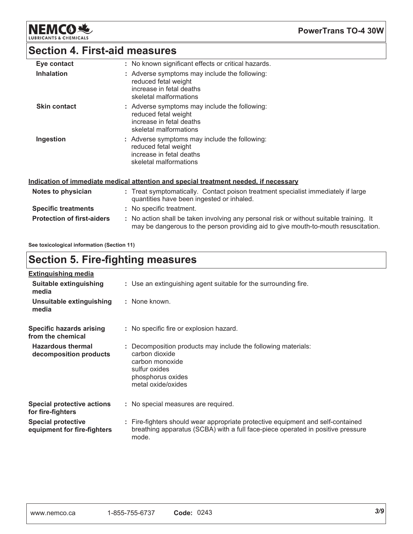**NEMCO头** LUBRIC

**PowerTrans TO-4 30W** 

# **Section 4. First-aid measures**

| Eye contact         | : No known significant effects or critical hazards.                                                                         |
|---------------------|-----------------------------------------------------------------------------------------------------------------------------|
| <b>Inhalation</b>   | : Adverse symptoms may include the following:<br>reduced fetal weight<br>increase in fetal deaths<br>skeletal malformations |
| <b>Skin contact</b> | : Adverse symptoms may include the following:<br>reduced fetal weight<br>increase in fetal deaths<br>skeletal malformations |
| Ingestion           | : Adverse symptoms may include the following:<br>reduced fetal weight<br>increase in fetal deaths<br>skeletal malformations |

#### Indication of immediate medical attention and special treatment needed, if necessary

| Notes to physician                | : Treat symptomatically. Contact poison treatment specialist immediately if large<br>quantities have been ingested or inhaled.                                               |
|-----------------------------------|------------------------------------------------------------------------------------------------------------------------------------------------------------------------------|
| <b>Specific treatments</b>        | : No specific treatment.                                                                                                                                                     |
| <b>Protection of first-aiders</b> | : No action shall be taken involving any personal risk or without suitable training. It<br>may be dangerous to the person providing aid to give mouth-to-mouth resuscitation |

See toxicological information (Section 11)

# **Section 5. Fire-fighting measures**

| <b>Extinguishing media</b>                               |                                                                                                                                                                             |
|----------------------------------------------------------|-----------------------------------------------------------------------------------------------------------------------------------------------------------------------------|
| Suitable extinguishing<br>media                          | : Use an extinguishing agent suitable for the surrounding fire.                                                                                                             |
| Unsuitable extinguishing<br>media                        | : None known.                                                                                                                                                               |
| <b>Specific hazards arising</b><br>from the chemical     | : No specific fire or explosion hazard.                                                                                                                                     |
| <b>Hazardous thermal</b><br>decomposition products       | Decomposition products may include the following materials:<br>carbon dioxide<br>carbon monoxide<br>sulfur oxides<br>phosphorus oxides<br>metal oxide/oxides                |
| <b>Special protective actions</b><br>for fire-fighters   | : No special measures are required.                                                                                                                                         |
| <b>Special protective</b><br>equipment for fire-fighters | : Fire-fighters should wear appropriate protective equipment and self-contained<br>breathing apparatus (SCBA) with a full face-piece operated in positive pressure<br>mode. |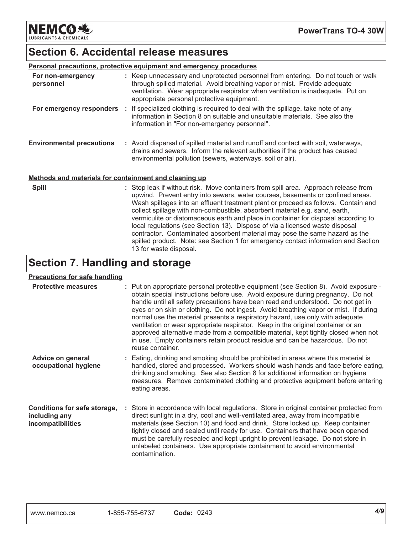**NEMCO 地 LUBRICANTS & CHEMICALS** 

## **Section 6. Accidental release measures**

|                                                       | <b>Personal precautions, protective equipment and emergency procedures</b>                                                                                                                                                                                                                                                                                                                                                                                                                                       |
|-------------------------------------------------------|------------------------------------------------------------------------------------------------------------------------------------------------------------------------------------------------------------------------------------------------------------------------------------------------------------------------------------------------------------------------------------------------------------------------------------------------------------------------------------------------------------------|
| For non-emergency<br>personnel                        | : Keep unnecessary and unprotected personnel from entering. Do not touch or walk<br>through spilled material. Avoid breathing vapor or mist. Provide adequate<br>ventilation. Wear appropriate respirator when ventilation is inadequate. Put on<br>appropriate personal protective equipment.                                                                                                                                                                                                                   |
| For emergency responders :                            | If specialized clothing is required to deal with the spillage, take note of any<br>information in Section 8 on suitable and unsuitable materials. See also the<br>information in "For non-emergency personnel".                                                                                                                                                                                                                                                                                                  |
| <b>Environmental precautions</b>                      | : Avoid dispersal of spilled material and runoff and contact with soil, waterways,<br>drains and sewers. Inform the relevant authorities if the product has caused<br>environmental pollution (sewers, waterways, soil or air).                                                                                                                                                                                                                                                                                  |
| Methods and materials for containment and cleaning up |                                                                                                                                                                                                                                                                                                                                                                                                                                                                                                                  |
| <b>Spill</b>                                          | : Stop leak if without risk. Move containers from spill area. Approach release from<br>upwind. Prevent entry into sewers, water courses, basements or confined areas.<br>Wash spillages into an effluent treatment plant or proceed as follows. Contain and<br>collect spillage with non-combustible, absorbent material e.g. sand, earth,<br>vermiculite or diatomaceous earth and place in container for disposal according to<br>local regulations (see Section 13). Dispose of via a licensed waste disposal |

contractor. Contaminated absorbent material may pose the same hazard as the spilled product. Note: see Section 1 for emergency contact information and Section

# **Section 7. Handling and storage**

13 for waste disposal.

#### **Precautions for safe handling**

| <b>Protective measures</b>                                         | : Put on appropriate personal protective equipment (see Section 8). Avoid exposure -<br>obtain special instructions before use. Avoid exposure during pregnancy. Do not<br>handle until all safety precautions have been read and understood. Do not get in<br>eyes or on skin or clothing. Do not ingest. Avoid breathing vapor or mist. If during<br>normal use the material presents a respiratory hazard, use only with adequate<br>ventilation or wear appropriate respirator. Keep in the original container or an<br>approved alternative made from a compatible material, kept tightly closed when not<br>in use. Empty containers retain product residue and can be hazardous. Do not<br>reuse container. |
|--------------------------------------------------------------------|--------------------------------------------------------------------------------------------------------------------------------------------------------------------------------------------------------------------------------------------------------------------------------------------------------------------------------------------------------------------------------------------------------------------------------------------------------------------------------------------------------------------------------------------------------------------------------------------------------------------------------------------------------------------------------------------------------------------|
| Advice on general<br>occupational hygiene                          | : Eating, drinking and smoking should be prohibited in areas where this material is<br>handled, stored and processed. Workers should wash hands and face before eating,<br>drinking and smoking. See also Section 8 for additional information on hygiene<br>measures. Remove contaminated clothing and protective equipment before entering<br>eating areas.                                                                                                                                                                                                                                                                                                                                                      |
| Conditions for safe storage,<br>including any<br>incompatibilities | : Store in accordance with local regulations. Store in original container protected from<br>direct sunlight in a dry, cool and well-ventilated area, away from incompatible<br>materials (see Section 10) and food and drink. Store locked up. Keep container<br>tightly closed and sealed until ready for use. Containers that have been opened<br>must be carefully resealed and kept upright to prevent leakage. Do not store in<br>unlabeled containers. Use appropriate containment to avoid environmental<br>contamination.                                                                                                                                                                                  |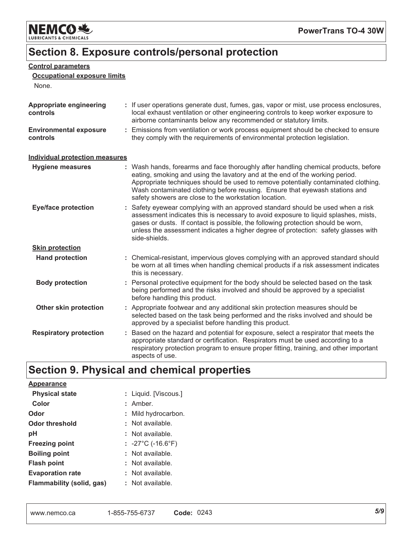

# Section 8. Exposure controls/personal protection

#### **Control parameters**

#### **Occupational exposure limits**

None.

| Appropriate engineering<br>controls       | : If user operations generate dust, fumes, gas, vapor or mist, use process enclosures,<br>local exhaust ventilation or other engineering controls to keep worker exposure to<br>airborne contaminants below any recommended or statutory limits.                                                                                                                                                  |
|-------------------------------------------|---------------------------------------------------------------------------------------------------------------------------------------------------------------------------------------------------------------------------------------------------------------------------------------------------------------------------------------------------------------------------------------------------|
| <b>Environmental exposure</b><br>controls | : Emissions from ventilation or work process equipment should be checked to ensure<br>they comply with the requirements of environmental protection legislation.                                                                                                                                                                                                                                  |
| <b>Individual protection measures</b>     |                                                                                                                                                                                                                                                                                                                                                                                                   |
| <b>Hygiene measures</b>                   | : Wash hands, forearms and face thoroughly after handling chemical products, before<br>eating, smoking and using the lavatory and at the end of the working period.<br>Appropriate techniques should be used to remove potentially contaminated clothing.<br>Wash contaminated clothing before reusing. Ensure that eyewash stations and<br>safety showers are close to the workstation location. |
| <b>Eye/face protection</b>                | : Safety eyewear complying with an approved standard should be used when a risk<br>assessment indicates this is necessary to avoid exposure to liquid splashes, mists,<br>gases or dusts. If contact is possible, the following protection should be worn,<br>unless the assessment indicates a higher degree of protection: safety glasses with<br>side-shields.                                 |
| <b>Skin protection</b>                    |                                                                                                                                                                                                                                                                                                                                                                                                   |
| <b>Hand protection</b>                    | : Chemical-resistant, impervious gloves complying with an approved standard should<br>be worn at all times when handling chemical products if a risk assessment indicates<br>this is necessary.                                                                                                                                                                                                   |
| <b>Body protection</b>                    | : Personal protective equipment for the body should be selected based on the task<br>being performed and the risks involved and should be approved by a specialist<br>before handling this product.                                                                                                                                                                                               |
| Other skin protection                     | : Appropriate footwear and any additional skin protection measures should be<br>selected based on the task being performed and the risks involved and should be<br>approved by a specialist before handling this product.                                                                                                                                                                         |
| <b>Respiratory protection</b>             | Based on the hazard and potential for exposure, select a respirator that meets the<br>appropriate standard or certification. Respirators must be used according to a<br>respiratory protection program to ensure proper fitting, training, and other important<br>aspects of use.                                                                                                                 |

# Section 9. Physical and chemical properties

| <b>Appearance</b>         |                                        |
|---------------------------|----------------------------------------|
| <b>Physical state</b>     | : Liquid. [Viscous.]                   |
| Color                     | : Amber.                               |
| Odor                      | : Mild hydrocarbon.                    |
| <b>Odor threshold</b>     | : Not available.                       |
| рH                        | : Not available.                       |
| <b>Freezing point</b>     | : $-27^{\circ}$ C (-16.6 $^{\circ}$ F) |
| <b>Boiling point</b>      | : Not available.                       |
| <b>Flash point</b>        | : Not available.                       |
| <b>Evaporation rate</b>   | : Not available.                       |
| Flammability (solid, gas) | : Not available.                       |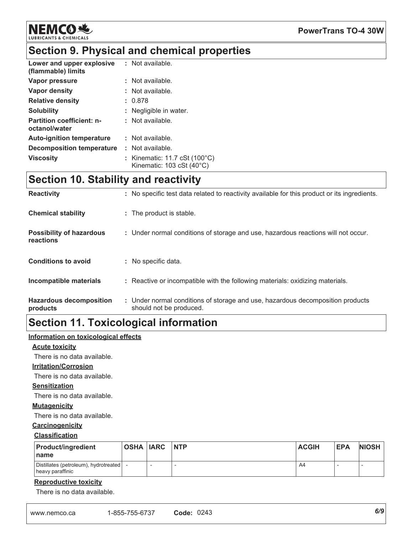

#### **PowerTrans TO-4 30W**

# Section 9. Physical and chemical properties

| Lower and upper explosive<br>(flammable) limits   | : Not available.                                                                              |
|---------------------------------------------------|-----------------------------------------------------------------------------------------------|
| Vapor pressure                                    | : Not available.                                                                              |
| Vapor density                                     | : Not available.                                                                              |
| <b>Relative density</b>                           | : 0.878                                                                                       |
| <b>Solubility</b>                                 | : Negligible in water.                                                                        |
| <b>Partition coefficient: n-</b><br>octanol/water | : Not available.                                                                              |
| <b>Auto-ignition temperature</b>                  | : Not available.                                                                              |
| Decomposition temperature                         | : Not available.                                                                              |
| <b>Viscosity</b>                                  | : Kinematic: 11.7 cSt $(100^{\circ}C)$<br>Kinematic: $103 \text{ cSt } (40^{\circ} \text{C})$ |

# **Section 10. Stability and reactivity**

| <b>Reactivity</b>                            | : No specific test data related to reactivity available for this product or its ingredients.              |
|----------------------------------------------|-----------------------------------------------------------------------------------------------------------|
| <b>Chemical stability</b>                    | : The product is stable.                                                                                  |
| <b>Possibility of hazardous</b><br>reactions | : Under normal conditions of storage and use, hazardous reactions will not occur.                         |
| <b>Conditions to avoid</b>                   | : No specific data.                                                                                       |
| Incompatible materials                       | : Reactive or incompatible with the following materials: oxidizing materials.                             |
| <b>Hazardous decomposition</b><br>products   | : Under normal conditions of storage and use, hazardous decomposition products<br>should not be produced. |

# **Section 11. Toxicological information**

#### Information on toxicological effects

#### **Acute toxicity**

There is no data available.

#### **Irritation/Corrosion**

There is no data available.

#### **Sensitization**

There is no data available.

#### **Mutagenicity**

There is no data available.

#### Carcinogenicity

#### **Classification**

| <b>Product/ingredient</b><br><b>Iname</b>                 | <b>OSHA IARC INTP</b> | <b>ACGIH</b> | <b>EPA</b> | <b>NIOSH</b> |
|-----------------------------------------------------------|-----------------------|--------------|------------|--------------|
| Distillates (petroleum), hydrotreated<br>heavy paraffinic |                       | A4           |            |              |

#### **Reproductive toxicity**

There is no data available.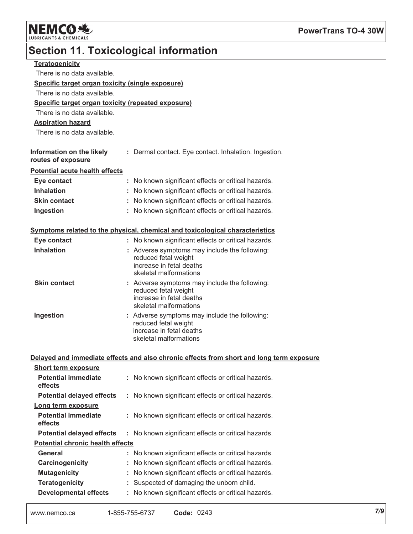

# Section 11. Toxicological information

| <b>Teratogenicity</b>                              |                                                                                          |
|----------------------------------------------------|------------------------------------------------------------------------------------------|
| There is no data available.                        |                                                                                          |
| Specific target organ toxicity (single exposure)   |                                                                                          |
| There is no data available.                        |                                                                                          |
| Specific target organ toxicity (repeated exposure) |                                                                                          |
| There is no data available.                        |                                                                                          |
| <b>Aspiration hazard</b>                           |                                                                                          |
| There is no data available.                        |                                                                                          |
|                                                    |                                                                                          |
| Information on the likely                          | : Dermal contact. Eye contact. Inhalation. Ingestion.                                    |
| routes of exposure                                 |                                                                                          |
| <b>Potential acute health effects</b>              |                                                                                          |
| Eye contact                                        | : No known significant effects or critical hazards.                                      |
| <b>Inhalation</b>                                  | : No known significant effects or critical hazards.                                      |
| <b>Skin contact</b>                                | No known significant effects or critical hazards.                                        |
| Ingestion                                          | : No known significant effects or critical hazards.                                      |
|                                                    |                                                                                          |
|                                                    | Symptoms related to the physical, chemical and toxicological characteristics             |
| Eye contact                                        | : No known significant effects or critical hazards.                                      |
| <b>Inhalation</b>                                  | : Adverse symptoms may include the following:                                            |
|                                                    | reduced fetal weight<br>increase in fetal deaths                                         |
|                                                    | skeletal malformations                                                                   |
| <b>Skin contact</b>                                | : Adverse symptoms may include the following:                                            |
|                                                    | reduced fetal weight                                                                     |
|                                                    | increase in fetal deaths<br>skeletal malformations                                       |
| Ingestion                                          | : Adverse symptoms may include the following:                                            |
|                                                    | reduced fetal weight                                                                     |
|                                                    | increase in fetal deaths                                                                 |
|                                                    | skeletal malformations                                                                   |
|                                                    |                                                                                          |
|                                                    | Delayed and immediate effects and also chronic effects from short and long term exposure |
| <b>Short term exposure</b>                         |                                                                                          |
| <b>Potential immediate</b><br>effects              | : No known significant effects or critical hazards.                                      |
| <b>Potential delayed effects</b>                   | : No known significant effects or critical hazards.                                      |
|                                                    |                                                                                          |
| Long term exposure<br><b>Potential immediate</b>   |                                                                                          |
| effects                                            | : No known significant effects or critical hazards.                                      |
| <b>Potential delayed effects</b>                   | No known significant effects or critical hazards.                                        |
| <b>Potential chronic health effects</b>            |                                                                                          |
| <b>General</b>                                     | : No known significant effects or critical hazards.                                      |
| Carcinogenicity                                    | No known significant effects or critical hazards.                                        |
| <b>Mutagenicity</b>                                | No known significant effects or critical hazards.                                        |
| <b>Teratogenicity</b>                              | Suspected of damaging the unborn child.                                                  |
| <b>Developmental effects</b>                       | No known significant effects or critical hazards.                                        |
|                                                    |                                                                                          |
|                                                    |                                                                                          |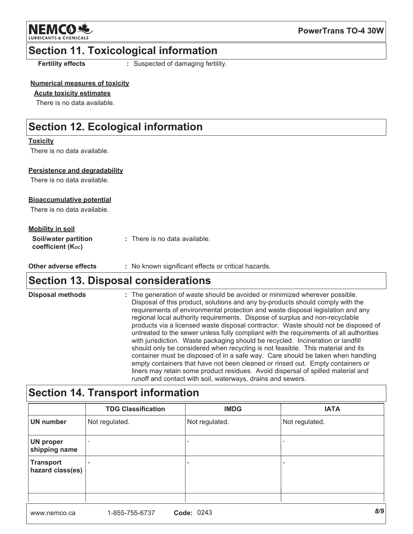

### **Section 11. Toxicological information**

**Fertility effects** 

: Suspected of damaging fertility.

#### **Numerical measures of toxicity**

#### **Acute toxicity estimates**

There is no data available.

# **Section 12. Ecological information**

#### **Toxicity**

There is no data available.

#### Persistence and degradability

There is no data available.

#### **Bioaccumulative potential**

There is no data available.

#### **Mobility in soil**

| <b>Soil/water partition</b>    | : There is no data available. |
|--------------------------------|-------------------------------|
| coefficient (K <sub>oc</sub> ) |                               |

| Other adverse effects | No known significant effects or critical hazards. |
|-----------------------|---------------------------------------------------|
|-----------------------|---------------------------------------------------|

# **Section 13. Disposal considerations**

**Disposal methods** : The generation of waste should be avoided or minimized wherever possible. Disposal of this product, solutions and any by-products should comply with the requirements of environmental protection and waste disposal legislation and any regional local authority requirements. Dispose of surplus and non-recyclable products via a licensed waste disposal contractor. Waste should not be disposed of untreated to the sewer unless fully compliant with the requirements of all authorities with jurisdiction. Waste packaging should be recycled. Incineration or landfill should only be considered when recycling is not feasible. This material and its container must be disposed of in a safe way. Care should be taken when handling empty containers that have not been cleaned or rinsed out. Empty containers or liners may retain some product residues. Avoid dispersal of spilled material and runoff and contact with soil, waterways, drains and sewers.

### **Section 14. Transport information**

|                                      | <b>TDG Classification</b> | <b>IMDG</b>              | <b>IATA</b>    |
|--------------------------------------|---------------------------|--------------------------|----------------|
| <b>UN number</b>                     | Not regulated.            | Not regulated.           | Not regulated. |
| <b>UN proper</b><br>shipping name    | $\overline{\phantom{a}}$  | $\qquad \qquad -$        |                |
| <b>Transport</b><br>hazard class(es) | $\overline{\phantom{0}}$  | $\overline{\phantom{a}}$ | -              |
|                                      |                           |                          |                |
|                                      |                           | ----                     | $\sim$         |